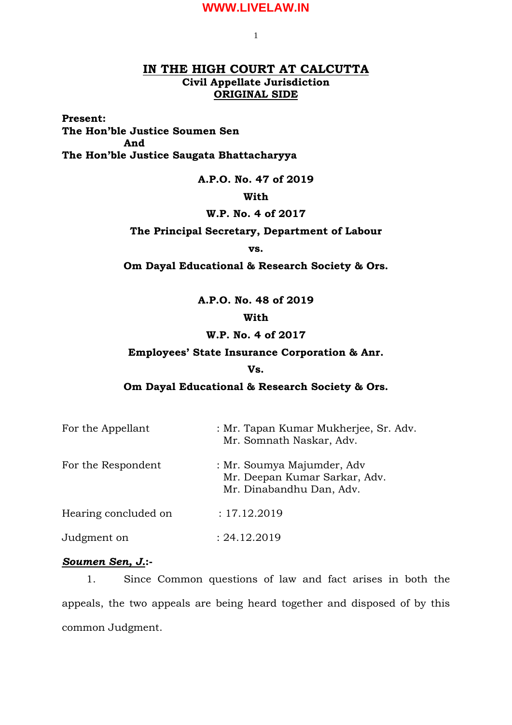1

# **IN THE HIGH COURT AT CALCUTTA Civil Appellate Jurisdiction ORIGINAL SIDE**

**Present:**

**The Hon'ble Justice Soumen Sen And The Hon'ble Justice Saugata Bhattacharyya**

**A.P.O. No. 47 of 2019**

### **With**

### **W.P. No. 4 of 2017**

**The Principal Secretary, Department of Labour**

**vs.**

**Om Dayal Educational & Research Society & Ors.**

**A.P.O. No. 48 of 2019**

# **With**

## **W.P. No. 4 of 2017**

### **Employees' State Insurance Corporation & Anr.**

#### **Vs.**

### **Om Dayal Educational & Research Society & Ors.**

| For the Appellant    | : Mr. Tapan Kumar Mukherjee, Sr. Adv.<br>Mr. Somnath Naskar, Adv.                       |
|----------------------|-----------------------------------------------------------------------------------------|
| For the Respondent   | : Mr. Soumya Majumder, Adv<br>Mr. Deepan Kumar Sarkar, Adv.<br>Mr. Dinabandhu Dan, Adv. |
| Hearing concluded on | : 17.12.2019                                                                            |
| Judgment on          | : 24.12.2019                                                                            |

# *Soumen Sen, J.***:-**

1. Since Common questions of law and fact arises in both the appeals, the two appeals are being heard together and disposed of by this common Judgment.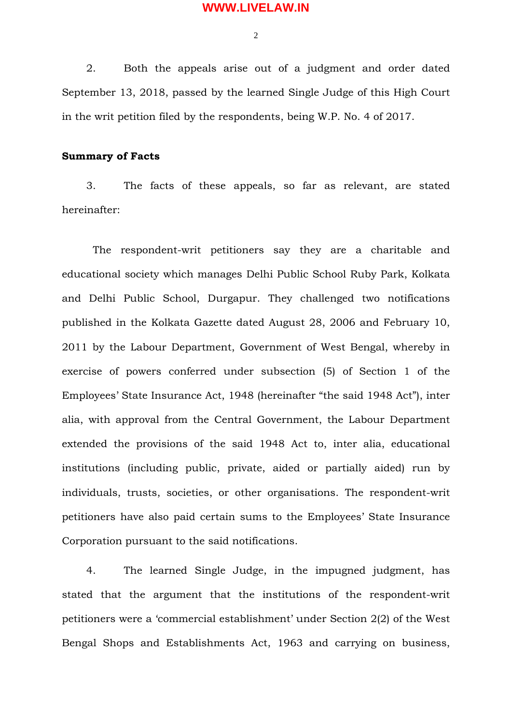$\overline{2}$ 

2. Both the appeals arise out of a judgment and order dated September 13, 2018, passed by the learned Single Judge of this High Court in the writ petition filed by the respondents, being W.P. No. 4 of 2017.

#### **Summary of Facts**

3. The facts of these appeals, so far as relevant, are stated hereinafter:

The respondent-writ petitioners say they are a charitable and educational society which manages Delhi Public School Ruby Park, Kolkata and Delhi Public School, Durgapur. They challenged two notifications published in the Kolkata Gazette dated August 28, 2006 and February 10, 2011 by the Labour Department, Government of West Bengal, whereby in exercise of powers conferred under subsection (5) of Section 1 of the Employees' State Insurance Act, 1948 (hereinafter "the said 1948 Act"), inter alia, with approval from the Central Government, the Labour Department extended the provisions of the said 1948 Act to, inter alia, educational institutions (including public, private, aided or partially aided) run by individuals, trusts, societies, or other organisations. The respondent-writ petitioners have also paid certain sums to the Employees' State Insurance Corporation pursuant to the said notifications.

4. The learned Single Judge, in the impugned judgment, has stated that the argument that the institutions of the respondent-writ petitioners were a 'commercial establishment' under Section 2(2) of the West Bengal Shops and Establishments Act, 1963 and carrying on business,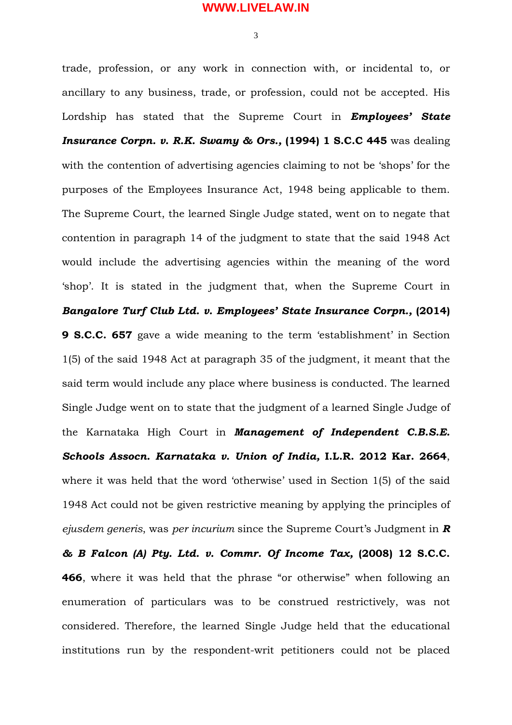3

trade, profession, or any work in connection with, or incidental to, or ancillary to any business, trade, or profession, could not be accepted. His Lordship has stated that the Supreme Court in *Employees' State Insurance Corpn. v. R.K. Swamy & Ors.,* **(1994) 1 S.C.C 445** was dealing with the contention of advertising agencies claiming to not be 'shops' for the purposes of the Employees Insurance Act, 1948 being applicable to them. The Supreme Court, the learned Single Judge stated, went on to negate that contention in paragraph 14 of the judgment to state that the said 1948 Act would include the advertising agencies within the meaning of the word 'shop'. It is stated in the judgment that, when the Supreme Court in *Bangalore Turf Club Ltd. v. Employees' State Insurance Corpn.,* **(2014) 9 S.C.C. 657** gave a wide meaning to the term 'establishment' in Section 1(5) of the said 1948 Act at paragraph 35 of the judgment, it meant that the said term would include any place where business is conducted. The learned Single Judge went on to state that the judgment of a learned Single Judge of the Karnataka High Court in *Management of Independent C.B.S.E. Schools Assocn. Karnataka v. Union of India,* **I.L.R. 2012 Kar. 2664**, where it was held that the word 'otherwise' used in Section 1(5) of the said 1948 Act could not be given restrictive meaning by applying the principles of *ejusdem generis*, was *per incurium* since the Supreme Court's Judgment in *R & B Falcon (A) Pty. Ltd. v. Commr. Of Income Tax,* **(2008) 12 S.C.C. 466**, where it was held that the phrase "or otherwise" when following an enumeration of particulars was to be construed restrictively, was not considered. Therefore, the learned Single Judge held that the educational institutions run by the respondent-writ petitioners could not be placed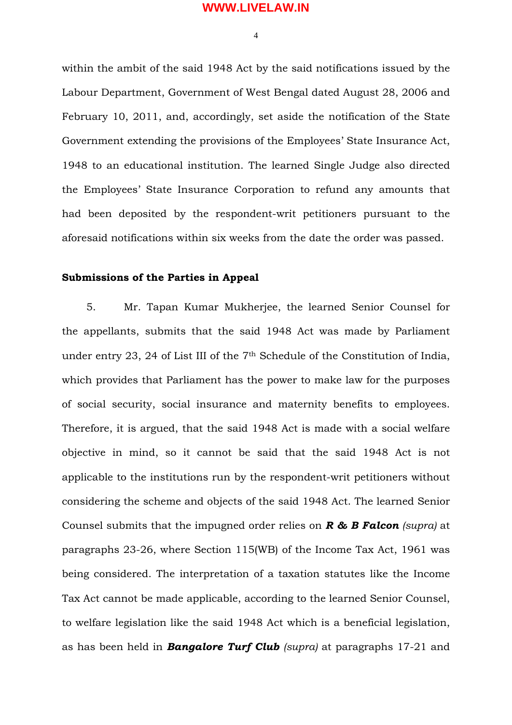4

within the ambit of the said 1948 Act by the said notifications issued by the Labour Department, Government of West Bengal dated August 28, 2006 and February 10, 2011, and, accordingly, set aside the notification of the State Government extending the provisions of the Employees' State Insurance Act, 1948 to an educational institution. The learned Single Judge also directed the Employees' State Insurance Corporation to refund any amounts that had been deposited by the respondent-writ petitioners pursuant to the aforesaid notifications within six weeks from the date the order was passed.

### **Submissions of the Parties in Appeal**

5. Mr. Tapan Kumar Mukherjee, the learned Senior Counsel for the appellants, submits that the said 1948 Act was made by Parliament under entry 23, 24 of List III of the 7<sup>th</sup> Schedule of the Constitution of India, which provides that Parliament has the power to make law for the purposes of social security, social insurance and maternity benefits to employees. Therefore, it is argued, that the said 1948 Act is made with a social welfare objective in mind, so it cannot be said that the said 1948 Act is not applicable to the institutions run by the respondent-writ petitioners without considering the scheme and objects of the said 1948 Act. The learned Senior Counsel submits that the impugned order relies on *R & B Falcon (supra)* at paragraphs 23-26, where Section 115(WB) of the Income Tax Act, 1961 was being considered. The interpretation of a taxation statutes like the Income Tax Act cannot be made applicable, according to the learned Senior Counsel, to welfare legislation like the said 1948 Act which is a beneficial legislation, as has been held in *Bangalore Turf Club (supra)* at paragraphs 17-21 and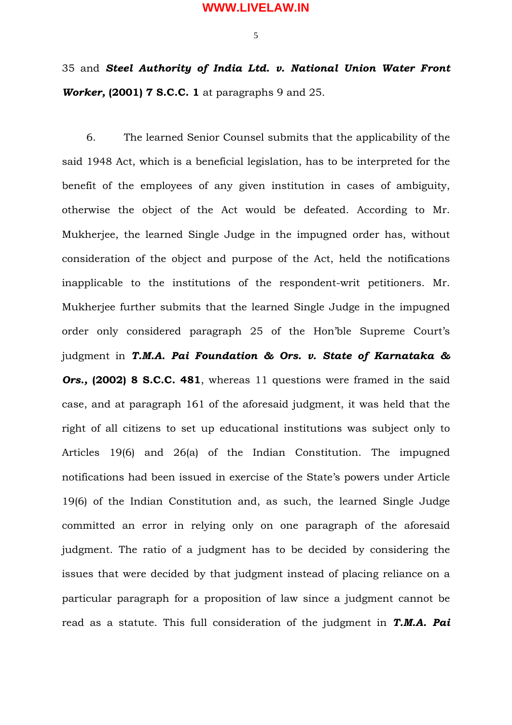5

35 and *Steel Authority of India Ltd. v. National Union Water Front Worker,* **(2001) 7 S.C.C. 1** at paragraphs 9 and 25.

6. The learned Senior Counsel submits that the applicability of the said 1948 Act, which is a beneficial legislation, has to be interpreted for the benefit of the employees of any given institution in cases of ambiguity, otherwise the object of the Act would be defeated. According to Mr. Mukherjee, the learned Single Judge in the impugned order has, without consideration of the object and purpose of the Act, held the notifications inapplicable to the institutions of the respondent-writ petitioners. Mr. Mukherjee further submits that the learned Single Judge in the impugned order only considered paragraph 25 of the Hon'ble Supreme Court's judgment in *T.M.A. Pai Foundation & Ors. v. State of Karnataka &* **Ors., (2002) 8 S.C.C. 481**, whereas 11 questions were framed in the said case, and at paragraph 161 of the aforesaid judgment, it was held that the right of all citizens to set up educational institutions was subject only to Articles 19(6) and 26(a) of the Indian Constitution. The impugned notifications had been issued in exercise of the State's powers under Article 19(6) of the Indian Constitution and, as such, the learned Single Judge committed an error in relying only on one paragraph of the aforesaid judgment. The ratio of a judgment has to be decided by considering the issues that were decided by that judgment instead of placing reliance on a particular paragraph for a proposition of law since a judgment cannot be read as a statute. This full consideration of the judgment in *T.M.A. Pai*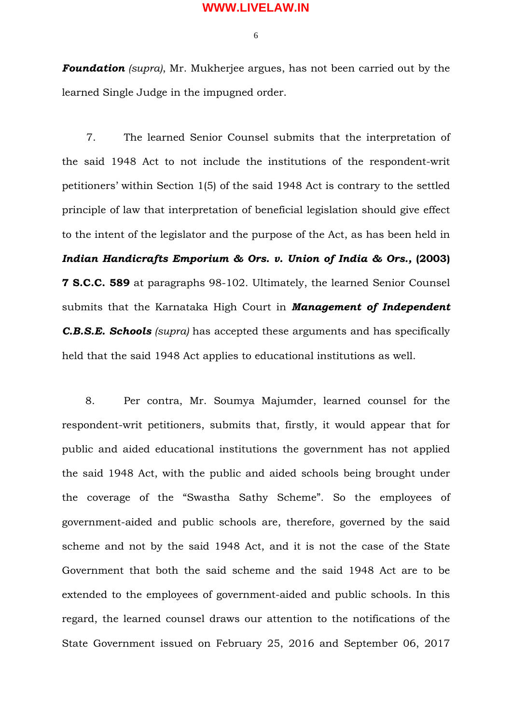6

*Foundation (supra)*, Mr. Mukherjee argues, has not been carried out by the learned Single Judge in the impugned order.

7. The learned Senior Counsel submits that the interpretation of the said 1948 Act to not include the institutions of the respondent-writ petitioners' within Section 1(5) of the said 1948 Act is contrary to the settled principle of law that interpretation of beneficial legislation should give effect to the intent of the legislator and the purpose of the Act, as has been held in *Indian Handicrafts Emporium & Ors. v. Union of India & Ors.,* **(2003) 7 S.C.C. 589** at paragraphs 98-102. Ultimately, the learned Senior Counsel submits that the Karnataka High Court in *Management of Independent C.B.S.E. Schools (supra)* has accepted these arguments and has specifically held that the said 1948 Act applies to educational institutions as well.

8. Per contra, Mr. Soumya Majumder, learned counsel for the respondent-writ petitioners, submits that, firstly, it would appear that for public and aided educational institutions the government has not applied the said 1948 Act, with the public and aided schools being brought under the coverage of the "Swastha Sathy Scheme". So the employees of government-aided and public schools are, therefore, governed by the said scheme and not by the said 1948 Act, and it is not the case of the State Government that both the said scheme and the said 1948 Act are to be extended to the employees of government-aided and public schools. In this regard, the learned counsel draws our attention to the notifications of the State Government issued on February 25, 2016 and September 06, 2017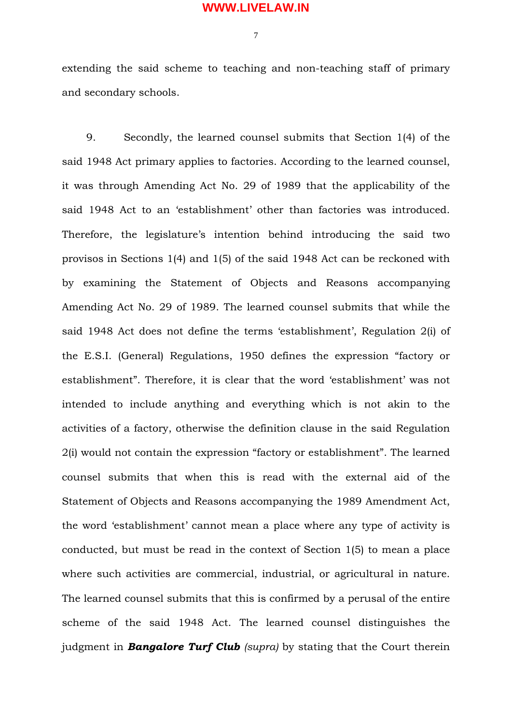7

extending the said scheme to teaching and non-teaching staff of primary and secondary schools.

9. Secondly, the learned counsel submits that Section 1(4) of the said 1948 Act primary applies to factories. According to the learned counsel, it was through Amending Act No. 29 of 1989 that the applicability of the said 1948 Act to an 'establishment' other than factories was introduced. Therefore, the legislature's intention behind introducing the said two provisos in Sections 1(4) and 1(5) of the said 1948 Act can be reckoned with by examining the Statement of Objects and Reasons accompanying Amending Act No. 29 of 1989. The learned counsel submits that while the said 1948 Act does not define the terms 'establishment', Regulation 2(i) of the E.S.I. (General) Regulations, 1950 defines the expression "factory or establishment". Therefore, it is clear that the word 'establishment' was not intended to include anything and everything which is not akin to the activities of a factory, otherwise the definition clause in the said Regulation 2(i) would not contain the expression "factory or establishment". The learned counsel submits that when this is read with the external aid of the Statement of Objects and Reasons accompanying the 1989 Amendment Act, the word 'establishment' cannot mean a place where any type of activity is conducted, but must be read in the context of Section 1(5) to mean a place where such activities are commercial, industrial, or agricultural in nature. The learned counsel submits that this is confirmed by a perusal of the entire scheme of the said 1948 Act. The learned counsel distinguishes the judgment in *Bangalore Turf Club (supra)* by stating that the Court therein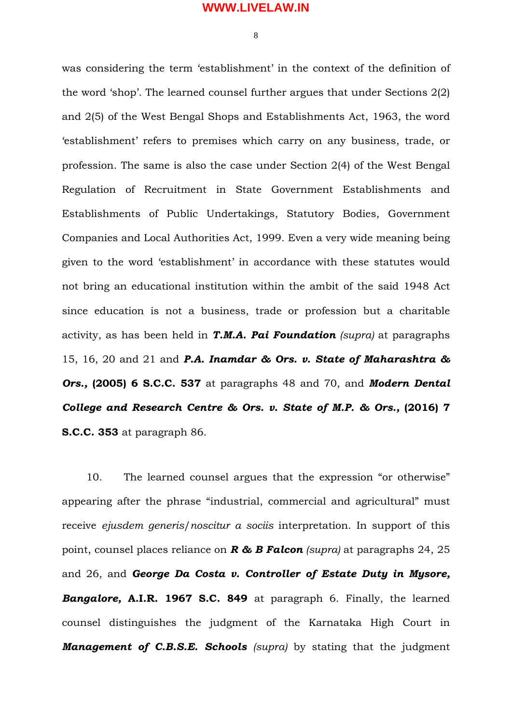8

was considering the term 'establishment' in the context of the definition of the word 'shop'. The learned counsel further argues that under Sections 2(2) and 2(5) of the West Bengal Shops and Establishments Act, 1963, the word 'establishment' refers to premises which carry on any business, trade, or profession. The same is also the case under Section 2(4) of the West Bengal Regulation of Recruitment in State Government Establishments and Establishments of Public Undertakings, Statutory Bodies, Government Companies and Local Authorities Act, 1999. Even a very wide meaning being given to the word 'establishment' in accordance with these statutes would not bring an educational institution within the ambit of the said 1948 Act since education is not a business, trade or profession but a charitable activity, as has been held in *T.M.A. Pai Foundation (supra)* at paragraphs 15, 16, 20 and 21 and *P.A. Inamdar & Ors. v. State of Maharashtra & Ors.,* **(2005) 6 S.C.C. 537** at paragraphs 48 and 70, and *Modern Dental College and Research Centre & Ors. v. State of M.P. & Ors.,* **(2016) 7 S.C.C. 353** at paragraph 86.

10. The learned counsel argues that the expression "or otherwise" appearing after the phrase "industrial, commercial and agricultural" must receive *ejusdem generis*/*noscitur a sociis* interpretation. In support of this point, counsel places reliance on *R & B Falcon (supra)* at paragraphs 24, 25 and 26, and *George Da Costa v. Controller of Estate Duty in Mysore, Bangalore,* **A.I.R. 1967 S.C. 849** at paragraph 6. Finally, the learned counsel distinguishes the judgment of the Karnataka High Court in *Management of C.B.S.E. Schools (supra)* by stating that the judgment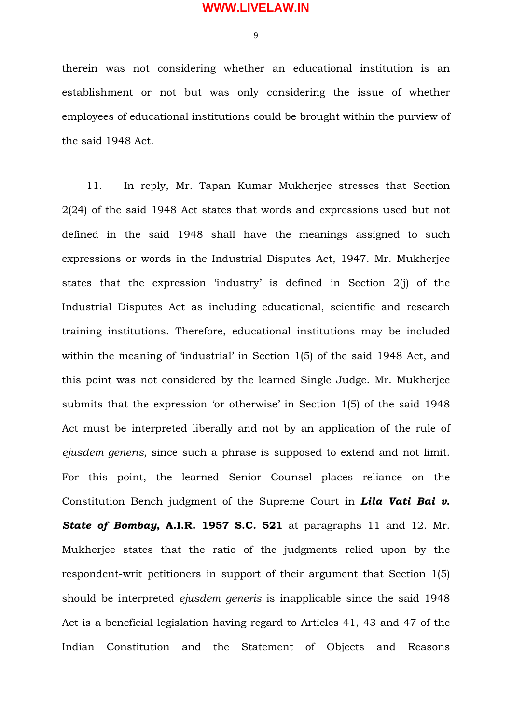$\overline{Q}$ 

therein was not considering whether an educational institution is an establishment or not but was only considering the issue of whether employees of educational institutions could be brought within the purview of the said 1948 Act.

11. In reply, Mr. Tapan Kumar Mukherjee stresses that Section 2(24) of the said 1948 Act states that words and expressions used but not defined in the said 1948 shall have the meanings assigned to such expressions or words in the Industrial Disputes Act, 1947. Mr. Mukherjee states that the expression 'industry' is defined in Section 2(j) of the Industrial Disputes Act as including educational, scientific and research training institutions. Therefore, educational institutions may be included within the meaning of 'industrial' in Section 1(5) of the said 1948 Act, and this point was not considered by the learned Single Judge. Mr. Mukherjee submits that the expression 'or otherwise' in Section 1(5) of the said 1948 Act must be interpreted liberally and not by an application of the rule of *ejusdem generis*, since such a phrase is supposed to extend and not limit. For this point, the learned Senior Counsel places reliance on the Constitution Bench judgment of the Supreme Court in *Lila Vati Bai v. State of Bombay,* **A.I.R. 1957 S.C. 521** at paragraphs 11 and 12. Mr. Mukherjee states that the ratio of the judgments relied upon by the respondent-writ petitioners in support of their argument that Section 1(5) should be interpreted *ejusdem generis* is inapplicable since the said 1948 Act is a beneficial legislation having regard to Articles 41, 43 and 47 of the Indian Constitution and the Statement of Objects and Reasons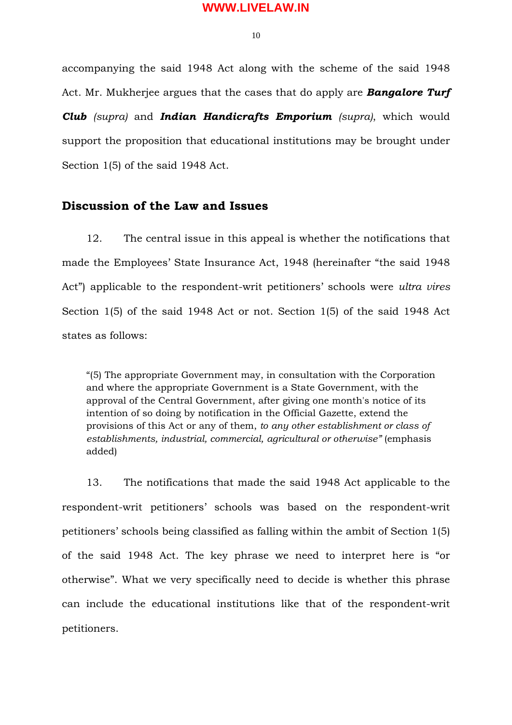10

accompanying the said 1948 Act along with the scheme of the said 1948 Act. Mr. Mukherjee argues that the cases that do apply are *Bangalore Turf Club (supra)* and *Indian Handicrafts Emporium (supra)*, which would support the proposition that educational institutions may be brought under Section 1(5) of the said 1948 Act.

## **Discussion of the Law and Issues**

12. The central issue in this appeal is whether the notifications that made the Employees' State Insurance Act, 1948 (hereinafter "the said 1948 Act") applicable to the respondent-writ petitioners' schools were *ultra vires* Section 1(5) of the said 1948 Act or not. Section 1(5) of the said 1948 Act states as follows:

"(5) The appropriate Government may, in consultation with the Corporation and where the appropriate Government is a State Government, with the approval of the Central Government, after giving one month's notice of its intention of so doing by notification in the Official Gazette, extend the provisions of this Act or any of them, *to any other establishment or class of establishments, industrial, commercial, agricultural or otherwise"* (emphasis added)

13. The notifications that made the said 1948 Act applicable to the respondent-writ petitioners' schools was based on the respondent-writ petitioners' schools being classified as falling within the ambit of Section 1(5) of the said 1948 Act. The key phrase we need to interpret here is "or otherwise". What we very specifically need to decide is whether this phrase can include the educational institutions like that of the respondent-writ petitioners.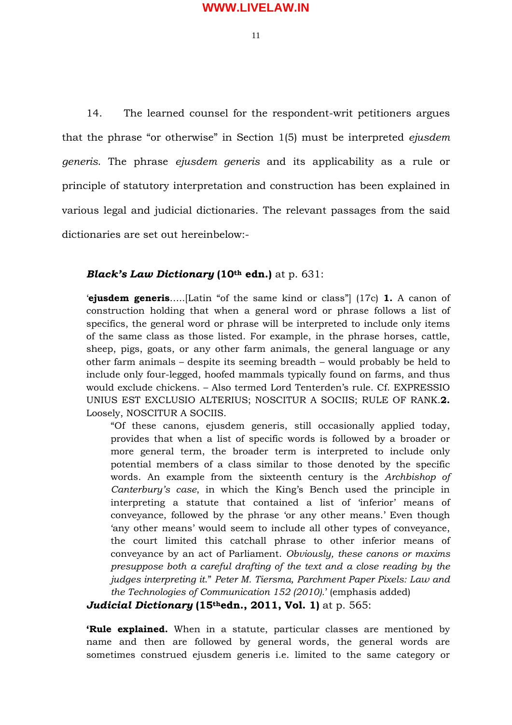11

14. The learned counsel for the respondent-writ petitioners argues that the phrase "or otherwise" in Section 1(5) must be interpreted *ejusdem generis*. The phrase *ejusdem generis* and its applicability as a rule or principle of statutory interpretation and construction has been explained in various legal and judicial dictionaries. The relevant passages from the said dictionaries are set out hereinbelow:-

### *Black's Law Dictionary* **(10th edn.)** at p. 631:

'**ejusdem generis**…..[Latin "of the same kind or class"] (17c) **1.** A canon of construction holding that when a general word or phrase follows a list of specifics, the general word or phrase will be interpreted to include only items of the same class as those listed. For example, in the phrase horses, cattle, sheep, pigs, goats, or any other farm animals, the general language or any other farm animals – despite its seeming breadth – would probably be held to include only four-legged, hoofed mammals typically found on farms, and thus would exclude chickens. – Also termed Lord Tenterden's rule. Cf. EXPRESSIO UNIUS EST EXCLUSIO ALTERIUS; NOSCITUR A SOCIIS; RULE OF RANK.**2.** Loosely, NOSCITUR A SOCIIS.

"Of these canons, ejusdem generis, still occasionally applied today, provides that when a list of specific words is followed by a broader or more general term, the broader term is interpreted to include only potential members of a class similar to those denoted by the specific words. An example from the sixteenth century is the *Archbishop of Canterbury's case*, in which the King's Bench used the principle in interpreting a statute that contained a list of 'inferior' means of conveyance, followed by the phrase 'or any other means.' Even though 'any other means' would seem to include all other types of conveyance, the court limited this catchall phrase to other inferior means of conveyance by an act of Parliament. *Obviously, these canons or maxims presuppose both a careful drafting of the text and a close reading by the judges interpreting it*." *Peter M. Tiersma, Parchment Paper Pixels: Law and the Technologies of Communication 152 (2010).*' (emphasis added)

*Judicial Dictionary* **(15thedn., 2011, Vol. 1)** at p. 565:

**'Rule explained.** When in a statute, particular classes are mentioned by name and then are followed by general words, the general words are sometimes construed ejusdem generis i.e. limited to the same category or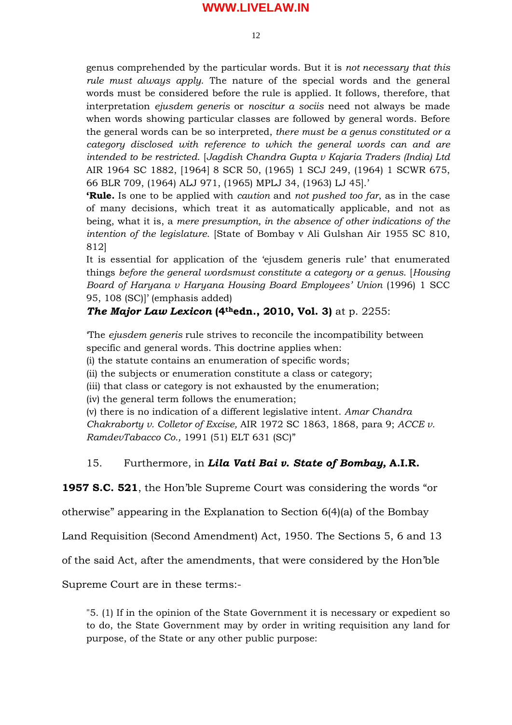$12$ 

genus comprehended by the particular words. But it is *not necessary that this rule must always apply*. The nature of the special words and the general words must be considered before the rule is applied. It follows, therefore, that interpretation *ejusdem generis* or *noscitur a sociis* need not always be made when words showing particular classes are followed by general words. Before the general words can be so interpreted, *there must be a genus constituted or a category disclosed with reference to which the general words can and are intended to be restricted*. [*Jagdish Chandra Gupta v Kajaria Traders (India) Ltd* AIR 1964 SC 1882, [1964] 8 SCR 50, (1965) 1 SCJ 249, (1964) 1 SCWR 675, 66 BLR 709, (1964) ALJ 971, (1965) MPLJ 34, (1963) LJ 45].'

**'Rule.** Is one to be applied with *caution* and *not pushed too far*, as in the case of many decisions, which treat it as automatically applicable, and not as being, what it is, a *mere presumption, in the absence of other indications of the intention of the legislature*. [State of Bombay v Ali Gulshan Air 1955 SC 810, 812]

It is essential for application of the 'ejusdem generis rule' that enumerated things *before the general wordsmust constitute a category or a genus*. [*Housing Board of Haryana v Haryana Housing Board Employees' Union* (1996) 1 SCC 95, 108 (SC)]' (emphasis added)

# *The Major Law Lexicon* **(4thedn., 2010, Vol. 3)** at p. 2255:

'The *ejusdem generis* rule strives to reconcile the incompatibility between specific and general words. This doctrine applies when:

(i) the statute contains an enumeration of specific words;

(ii) the subjects or enumeration constitute a class or category;

(iii) that class or category is not exhausted by the enumeration;

(iv) the general term follows the enumeration;

(v) there is no indication of a different legislative intent. *Amar Chandra Chakraborty v. Colletor of Excise,* AIR 1972 SC 1863, 1868, para 9; *ACCE v. RamdevTabacco Co.,* 1991 (51) ELT 631 (SC)"

# 15. Furthermore, in *Lila Vati Bai v. State of Bombay,* **A.I.R.**

**1957 S.C. 521**, the Hon'ble Supreme Court was considering the words "or

otherwise" appearing in the Explanation to Section 6(4)(a) of the Bombay

Land Requisition (Second Amendment) Act, 1950. The Sections 5, 6 and 13

of the said Act, after the amendments, that were considered by the Hon'ble

Supreme Court are in these terms:-

"5. (1) If in the opinion of the State Government it is necessary or expedient so to do, the State Government may by order in writing requisition any land for purpose, of the State or any other public purpose: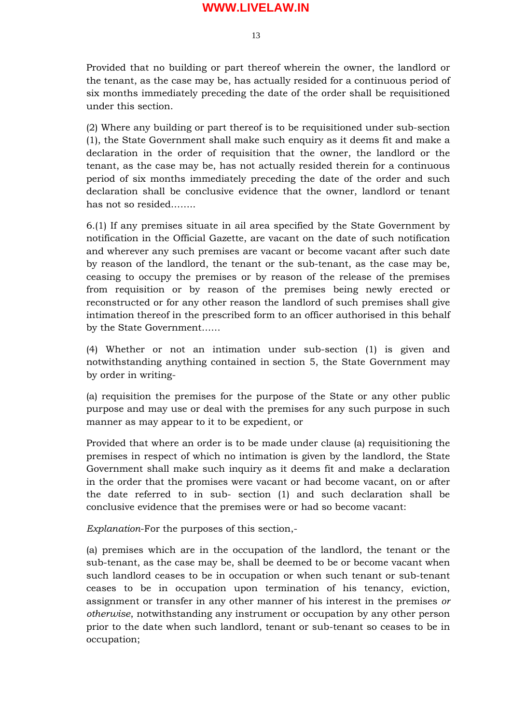13

Provided that no building or part thereof wherein the owner, the landlord or the tenant, as the case may be, has actually resided for a continuous period of six months immediately preceding the date of the order shall be requisitioned under this section.

(2) Where any building or part thereof is to be requisitioned under sub-section (1), the State Government shall make such enquiry as it deems fit and make a declaration in the order of requisition that the owner, the landlord or the tenant, as the case may be, has not actually resided therein for a continuous period of six months immediately preceding the date of the order and such declaration shall be conclusive evidence that the owner, landlord or tenant has not so resided……..

6.(1) If any premises situate in ail area specified by the State Government by notification in the Official Gazette, are vacant on the date of such notification and wherever any such premises are vacant or become vacant after such date by reason of the landlord, the tenant or the sub-tenant, as the case may be, ceasing to occupy the premises or by reason of the release of the premises from requisition or by reason of the premises being newly erected or reconstructed or for any other reason the landlord of such premises shall give intimation thereof in the prescribed form to an officer authorised in this behalf by the State Government……

(4) Whether or not an intimation under sub-section (1) is given and notwithstanding anything contained in section 5, the State Government may by order in writing-

(a) requisition the premises for the purpose of the State or any other public purpose and may use or deal with the premises for any such purpose in such manner as may appear to it to be expedient, or

Provided that where an order is to be made under clause (a) requisitioning the premises in respect of which no intimation is given by the landlord, the State Government shall make such inquiry as it deems fit and make a declaration in the order that the promises were vacant or had become vacant, on or after the date referred to in sub- section (1) and such declaration shall be conclusive evidence that the premises were or had so become vacant:

*Explanation*-For the purposes of this section,-

(a) premises which are in the occupation of the landlord, the tenant or the sub-tenant, as the case may be, shall be deemed to be or become vacant when such landlord ceases to be in occupation or when such tenant or sub-tenant ceases to be in occupation upon termination of his tenancy, eviction, assignment or transfer in any other manner of his interest in the premises *or otherwise*, notwithstanding any instrument or occupation by any other person prior to the date when such landlord, tenant or sub-tenant so ceases to be in occupation;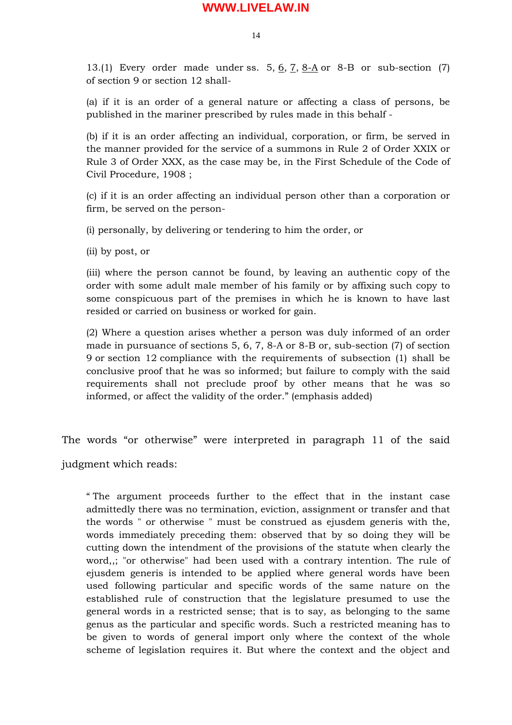14

13.(1) Every order made under ss. 5,  $\underline{6}$ ,  $\underline{7}$ ,  $\underline{8-A}$  or  $8-B$  or sub-section (7) of section 9 or section 12 shall-

(a) if it is an order of a general nature or affecting a class of persons, be published in the mariner prescribed by rules made in this behalf -

(b) if it is an order affecting an individual, corporation, or firm, be served in the manner provided for the service of a summons in Rule 2 of Order XXIX or Rule 3 of Order XXX, as the case may be, in the First Schedule of the Code of Civil Procedure, 1908 ;

(c) if it is an order affecting an individual person other than a corporation or firm, be served on the person-

(i) personally, by delivering or tendering to him the order, or

(ii) by post, or

(iii) where the person cannot be found, by leaving an authentic copy of the order with some adult male member of his family or by affixing such copy to some conspicuous part of the premises in which he is known to have last resided or carried on business or worked for gain.

(2) Where a question arises whether a person was duly informed of an order made in pursuance of sections 5, 6, 7, 8-A or 8-B or, sub-section (7) of section 9 or section 12 compliance with the requirements of subsection (1) shall be conclusive proof that he was so informed; but failure to comply with the said requirements shall not preclude proof by other means that he was so informed, or affect the validity of the order." (emphasis added)

The words "or otherwise" were interpreted in paragraph 11 of the said judgment which reads:

" The argument proceeds further to the effect that in the instant case admittedly there was no termination, eviction, assignment or transfer and that the words " or otherwise " must be construed as ejusdem generis with the, words immediately preceding them: observed that by so doing they will be cutting down the intendment of the provisions of the statute when clearly the word,,; "or otherwise" had been used with a contrary intention. The rule of ejusdem generis is intended to be applied where general words have been used following particular and specific words of the same nature on the established rule of construction that the legislature presumed to use the general words in a restricted sense; that is to say, as belonging to the same genus as the particular and specific words. Such a restricted meaning has to be given to words of general import only where the context of the whole scheme of legislation requires it. But where the context and the object and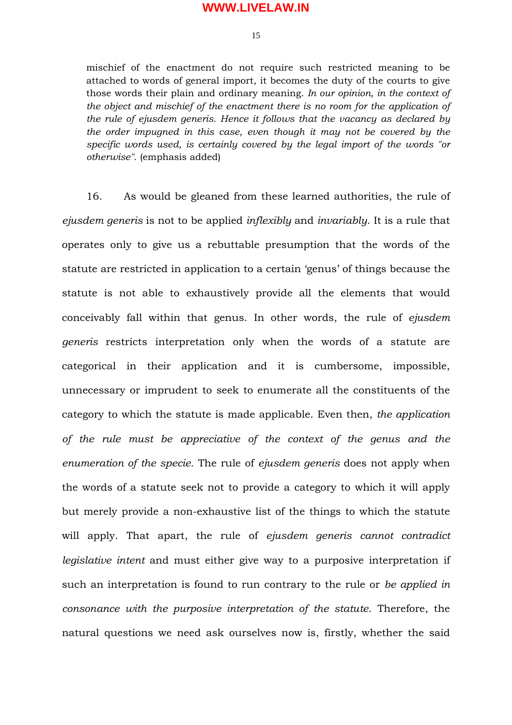15

mischief of the enactment do not require such restricted meaning to be attached to words of general import, it becomes the duty of the courts to give those words their plain and ordinary meaning. *In our opinion, in the context of the object and mischief of the enactment there is no room for the application of the rule of ejusdem generis. Hence it follows that the vacancy as declared by the order impugned in this case, even though it may not be covered by the specific words used, is certainly covered by the legal import of the words "or otherwise"*. (emphasis added)

16. As would be gleaned from these learned authorities, the rule of *ejusdem generis* is not to be applied *inflexibly* and *invariably*. It is a rule that operates only to give us a rebuttable presumption that the words of the statute are restricted in application to a certain 'genus' of things because the statute is not able to exhaustively provide all the elements that would conceivably fall within that genus. In other words, the rule of *ejusdem generis* restricts interpretation only when the words of a statute are categorical in their application and it is cumbersome, impossible, unnecessary or imprudent to seek to enumerate all the constituents of the category to which the statute is made applicable. Even then, *the application of the rule must be appreciative of the context of the genus and the enumeration of the specie*. The rule of *ejusdem generis* does not apply when the words of a statute seek not to provide a category to which it will apply but merely provide a non-exhaustive list of the things to which the statute will apply. That apart, the rule of *ejusdem generis cannot contradict legislative intent* and must either give way to a purposive interpretation if such an interpretation is found to run contrary to the rule or *be applied in consonance with the purposive interpretation of the statute*. Therefore, the natural questions we need ask ourselves now is, firstly, whether the said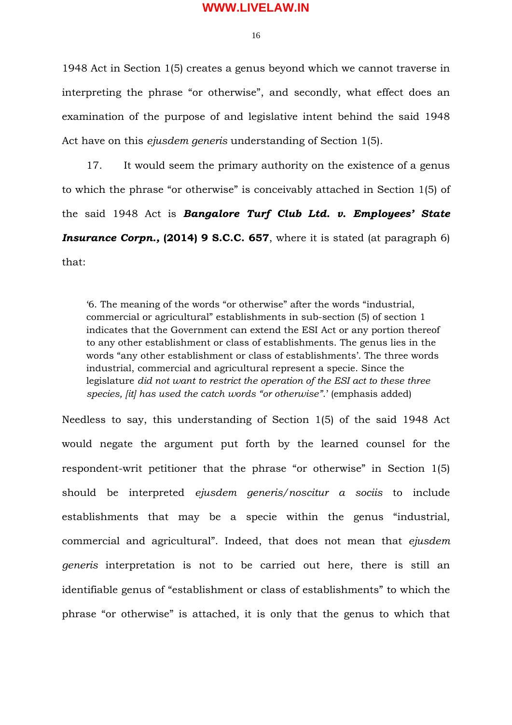16

1948 Act in Section 1(5) creates a genus beyond which we cannot traverse in interpreting the phrase "or otherwise", and secondly, what effect does an examination of the purpose of and legislative intent behind the said 1948 Act have on this *ejusdem generis* understanding of Section 1(5).

17. It would seem the primary authority on the existence of a genus to which the phrase "or otherwise" is conceivably attached in Section 1(5) of the said 1948 Act is *Bangalore Turf Club Ltd. v. Employees' State* **Insurance Corpn., (2014) 9 S.C.C. 657**, where it is stated (at paragraph 6) that:

'6. The meaning of the words "or otherwise" after the words "industrial, commercial or agricultural" establishments in sub-section (5) of section 1 indicates that the Government can extend the ESI Act or any portion thereof to any other establishment or class of establishments. The genus lies in the words "any other establishment or class of establishments'. The three words industrial, commercial and agricultural represent a specie. Since the legislature *did not want to restrict the operation of the ESI act to these three species, [it] has used the catch words "or otherwise"*.' (emphasis added)

Needless to say, this understanding of Section 1(5) of the said 1948 Act would negate the argument put forth by the learned counsel for the respondent-writ petitioner that the phrase "or otherwise" in Section 1(5) should be interpreted *ejusdem generis/noscitur a sociis* to include establishments that may be a specie within the genus "industrial, commercial and agricultural". Indeed, that does not mean that *ejusdem generis* interpretation is not to be carried out here, there is still an identifiable genus of "establishment or class of establishments" to which the phrase "or otherwise" is attached, it is only that the genus to which that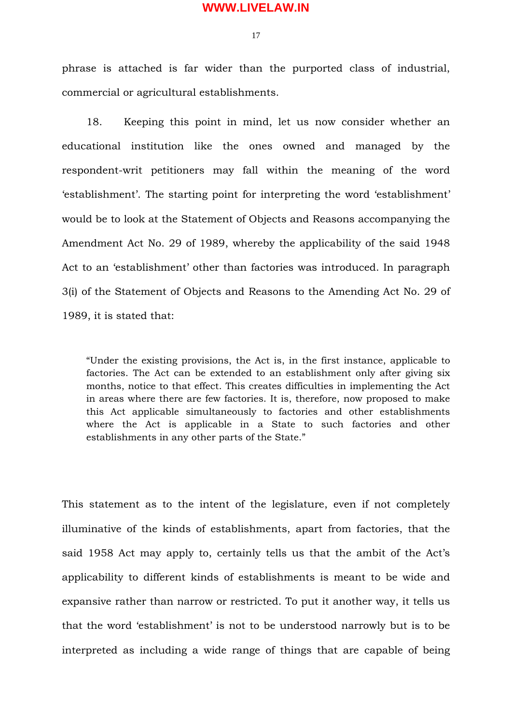17

phrase is attached is far wider than the purported class of industrial, commercial or agricultural establishments.

18. Keeping this point in mind, let us now consider whether an educational institution like the ones owned and managed by the respondent-writ petitioners may fall within the meaning of the word 'establishment'. The starting point for interpreting the word 'establishment' would be to look at the Statement of Objects and Reasons accompanying the Amendment Act No. 29 of 1989, whereby the applicability of the said 1948 Act to an 'establishment' other than factories was introduced. In paragraph 3(i) of the Statement of Objects and Reasons to the Amending Act No. 29 of 1989, it is stated that:

"Under the existing provisions, the Act is, in the first instance, applicable to factories. The Act can be extended to an establishment only after giving six months, notice to that effect. This creates difficulties in implementing the Act in areas where there are few factories. It is, therefore, now proposed to make this Act applicable simultaneously to factories and other establishments where the Act is applicable in a State to such factories and other establishments in any other parts of the State."

This statement as to the intent of the legislature, even if not completely illuminative of the kinds of establishments, apart from factories, that the said 1958 Act may apply to, certainly tells us that the ambit of the Act's applicability to different kinds of establishments is meant to be wide and expansive rather than narrow or restricted. To put it another way, it tells us that the word 'establishment' is not to be understood narrowly but is to be interpreted as including a wide range of things that are capable of being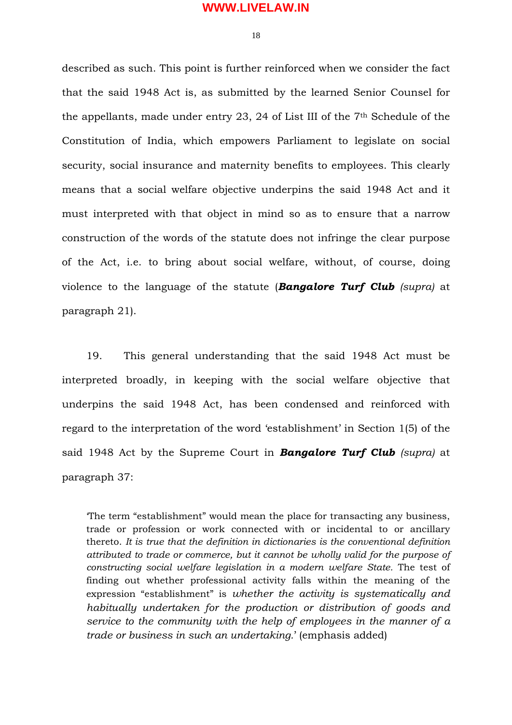18

described as such. This point is further reinforced when we consider the fact that the said 1948 Act is, as submitted by the learned Senior Counsel for the appellants, made under entry 23, 24 of List III of the 7th Schedule of the Constitution of India, which empowers Parliament to legislate on social security, social insurance and maternity benefits to employees. This clearly means that a social welfare objective underpins the said 1948 Act and it must interpreted with that object in mind so as to ensure that a narrow construction of the words of the statute does not infringe the clear purpose of the Act, i.e. to bring about social welfare, without, of course, doing violence to the language of the statute (*Bangalore Turf Club (supra)* at paragraph 21).

19. This general understanding that the said 1948 Act must be interpreted broadly, in keeping with the social welfare objective that underpins the said 1948 Act, has been condensed and reinforced with regard to the interpretation of the word 'establishment' in Section 1(5) of the said 1948 Act by the Supreme Court in *Bangalore Turf Club (supra)* at paragraph 37:

'The term "establishment" would mean the place for transacting any business, trade or profession or work connected with or incidental to or ancillary thereto. *It is true that the definition in dictionaries is the conventional definition attributed to trade or commerce, but it cannot be wholly valid for the purpose of constructing social welfare legislation in a modern welfare State.* The test of finding out whether professional activity falls within the meaning of the expression "establishment" is *whether the activity is systematically and habitually undertaken for the production or distribution of goods and service to the community with the help of employees in the manner of a trade or business in such an undertaking.*' (emphasis added)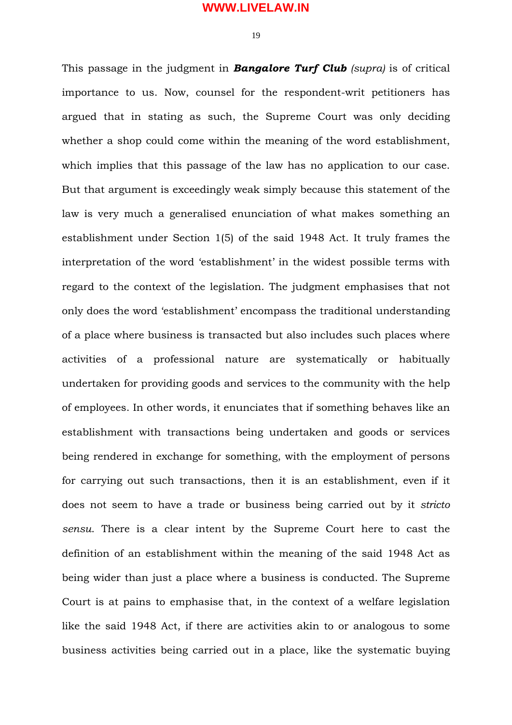19

This passage in the judgment in *Bangalore Turf Club (supra)* is of critical importance to us. Now, counsel for the respondent-writ petitioners has argued that in stating as such, the Supreme Court was only deciding whether a shop could come within the meaning of the word establishment, which implies that this passage of the law has no application to our case. But that argument is exceedingly weak simply because this statement of the law is very much a generalised enunciation of what makes something an establishment under Section 1(5) of the said 1948 Act. It truly frames the interpretation of the word 'establishment' in the widest possible terms with regard to the context of the legislation. The judgment emphasises that not only does the word 'establishment' encompass the traditional understanding of a place where business is transacted but also includes such places where activities of a professional nature are systematically or habitually undertaken for providing goods and services to the community with the help of employees. In other words, it enunciates that if something behaves like an establishment with transactions being undertaken and goods or services being rendered in exchange for something, with the employment of persons for carrying out such transactions, then it is an establishment, even if it does not seem to have a trade or business being carried out by it *stricto sensu*. There is a clear intent by the Supreme Court here to cast the definition of an establishment within the meaning of the said 1948 Act as being wider than just a place where a business is conducted. The Supreme Court is at pains to emphasise that, in the context of a welfare legislation like the said 1948 Act, if there are activities akin to or analogous to some business activities being carried out in a place, like the systematic buying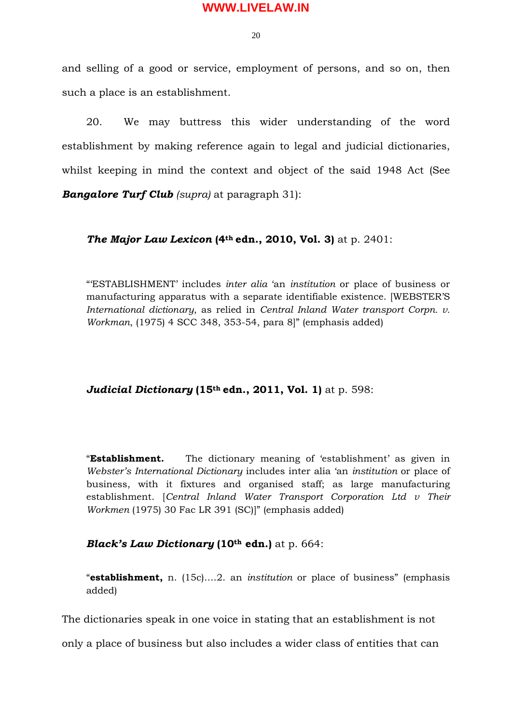$20$ 

and selling of a good or service, employment of persons, and so on, then such a place is an establishment.

20. We may buttress this wider understanding of the word establishment by making reference again to legal and judicial dictionaries, whilst keeping in mind the context and object of the said 1948 Act (See *Bangalore Turf Club (supra)* at paragraph 31):

*The Major Law Lexicon* **(4th edn., 2010, Vol. 3)** at p. 2401:

"'ESTABLISHMENT' includes *inter alia* 'an *institution* or place of business or manufacturing apparatus with a separate identifiable existence. [WEBSTER'S *International dictionary*, as relied in *Central Inland Water transport Corpn. v. Workman*, (1975) 4 SCC 348, 353-54, para 8]" (emphasis added)

*Judicial Dictionary* **(15th edn., 2011, Vol. 1)** at p. 598:

"**Establishment.** The dictionary meaning of 'establishment' as given in *Webster's International Dictionary* includes inter alia 'an *institution* or place of business, with it fixtures and organised staff; as large manufacturing establishment. [*Central Inland Water Transport Corporation Ltd v Their Workmen* (1975) 30 Fac LR 391 (SC)]" (emphasis added)

## *Black's Law Dictionary* (10<sup>th</sup> edn.) at p. 664:

"**establishment,** n. (15c)….2. an *institution* or place of business" (emphasis added)

The dictionaries speak in one voice in stating that an establishment is not

only a place of business but also includes a wider class of entities that can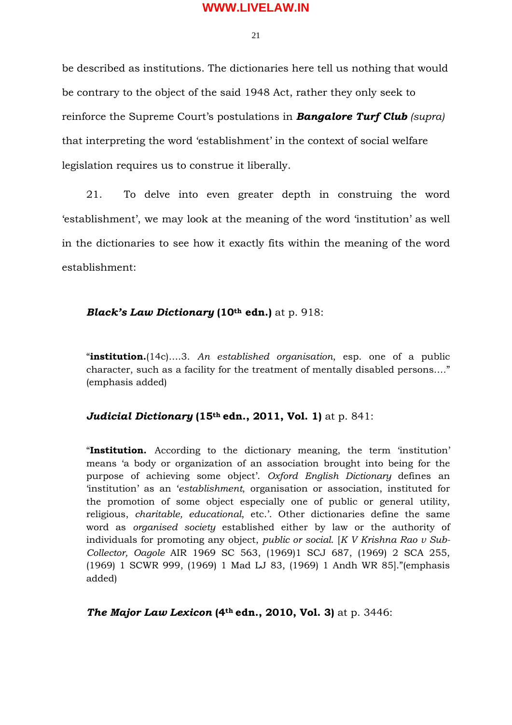$21$ 

be described as institutions. The dictionaries here tell us nothing that would be contrary to the object of the said 1948 Act, rather they only seek to reinforce the Supreme Court's postulations in *Bangalore Turf Club (supra)* that interpreting the word 'establishment' in the context of social welfare legislation requires us to construe it liberally.

21. To delve into even greater depth in construing the word 'establishment', we may look at the meaning of the word 'institution' as well in the dictionaries to see how it exactly fits within the meaning of the word establishment:

### *Black's Law Dictionary (10<sup>th</sup> edn.)* at p. 918:

"**institution.**(14c)….3. *An established organisation*, esp. one of a public character, such as a facility for the treatment of mentally disabled persons…." (emphasis added)

### *Judicial Dictionary* **(15th edn., 2011, Vol. 1)** at p. 841:

"**Institution.** According to the dictionary meaning, the term 'institution' means 'a body or organization of an association brought into being for the purpose of achieving some object'. *Oxford English Dictionary* defines an 'institution' as an '*establishment*, organisation or association, instituted for the promotion of some object especially one of public or general utility, religious, *charitable, educational*, etc.'. Other dictionaries define the same word as *organised society* established either by law or the authority of individuals for promoting any object, *public or social*. [*K V Krishna Rao v Sub-Collector, Oagole* AIR 1969 SC 563, (1969)1 SCJ 687, (1969) 2 SCA 255, (1969) 1 SCWR 999, (1969) 1 Mad LJ 83, (1969) 1 Andh WR 85]."(emphasis added)

*The Major Law Lexicon* **(4th edn., 2010, Vol. 3)** at p. 3446: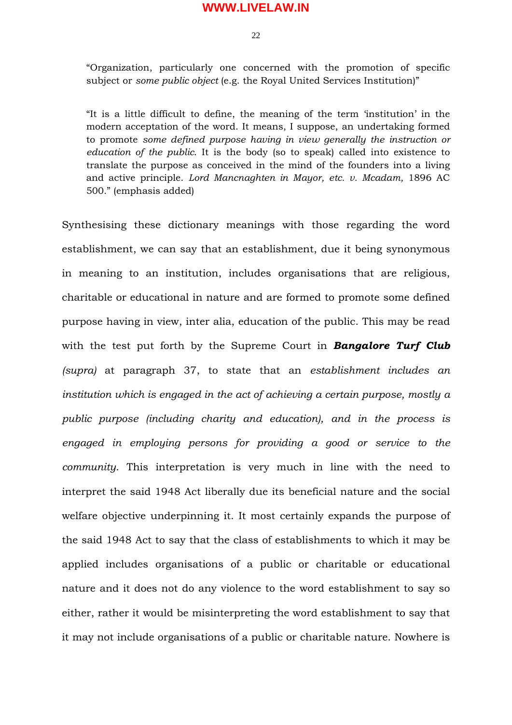$22$ 

"Organization, particularly one concerned with the promotion of specific subject or *some public object* (e.g. the Royal United Services Institution)"

"It is a little difficult to define, the meaning of the term 'institution' in the modern acceptation of the word. It means, I suppose, an undertaking formed to promote *some defined purpose having in view generally the instruction or education of the public*. It is the body (so to speak) called into existence to translate the purpose as conceived in the mind of the founders into a living and active principle. *Lord Mancnaghten in Mayor, etc. v. Mcadam,* 1896 AC 500*.*" (emphasis added)

Synthesising these dictionary meanings with those regarding the word establishment, we can say that an establishment, due it being synonymous in meaning to an institution, includes organisations that are religious, charitable or educational in nature and are formed to promote some defined purpose having in view, inter alia, education of the public. This may be read with the test put forth by the Supreme Court in *Bangalore Turf Club (supra)* at paragraph 37, to state that an *establishment includes an institution which is engaged in the act of achieving a certain purpose, mostly a public purpose (including charity and education), and in the process is engaged in employing persons for providing a good or service to the community*. This interpretation is very much in line with the need to interpret the said 1948 Act liberally due its beneficial nature and the social welfare objective underpinning it. It most certainly expands the purpose of the said 1948 Act to say that the class of establishments to which it may be applied includes organisations of a public or charitable or educational nature and it does not do any violence to the word establishment to say so either, rather it would be misinterpreting the word establishment to say that it may not include organisations of a public or charitable nature. Nowhere is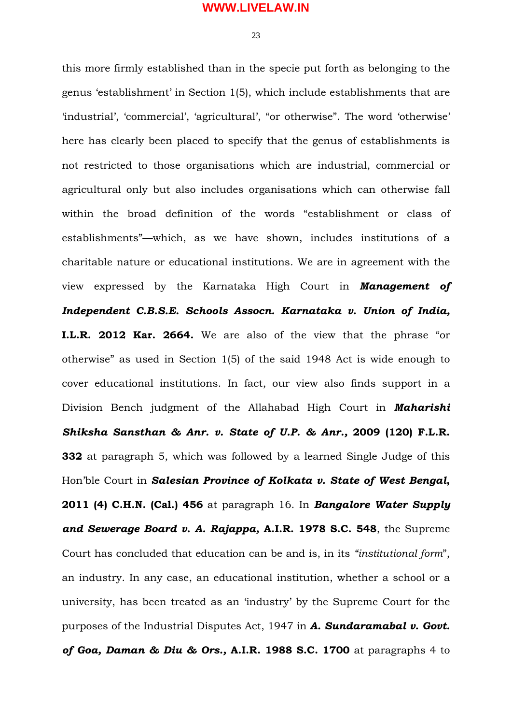$23$ 

this more firmly established than in the specie put forth as belonging to the genus 'establishment' in Section 1(5), which include establishments that are 'industrial', 'commercial', 'agricultural', "or otherwise". The word 'otherwise' here has clearly been placed to specify that the genus of establishments is not restricted to those organisations which are industrial, commercial or agricultural only but also includes organisations which can otherwise fall within the broad definition of the words "establishment or class of establishments"—which, as we have shown, includes institutions of a charitable nature or educational institutions. We are in agreement with the view expressed by the Karnataka High Court in *Management of Independent C.B.S.E. Schools Assocn. Karnataka v. Union of India,* **I.L.R. 2012 Kar. 2664.** We are also of the view that the phrase "or otherwise" as used in Section 1(5) of the said 1948 Act is wide enough to cover educational institutions. In fact, our view also finds support in a Division Bench judgment of the Allahabad High Court in *Maharishi Shiksha Sansthan & Anr. v. State of U.P. & Anr.,* **2009 (120) F.L.R. 332** at paragraph 5, which was followed by a learned Single Judge of this Hon'ble Court in *Salesian Province of Kolkata v. State of West Bengal***, 2011 (4) C.H.N. (Cal.) 456** at paragraph 16. In *Bangalore Water Supply and Sewerage Board v. A. Rajappa,* **A.I.R. 1978 S.C. 548**, the Supreme Court has concluded that education can be and is, in its *"institutional form*", an industry. In any case, an educational institution, whether a school or a university, has been treated as an 'industry' by the Supreme Court for the purposes of the Industrial Disputes Act, 1947 in *A. Sundaramabal v. Govt. of Goa, Daman & Diu & Ors.,* **A.I.R. 1988 S.C. 1700** at paragraphs 4 to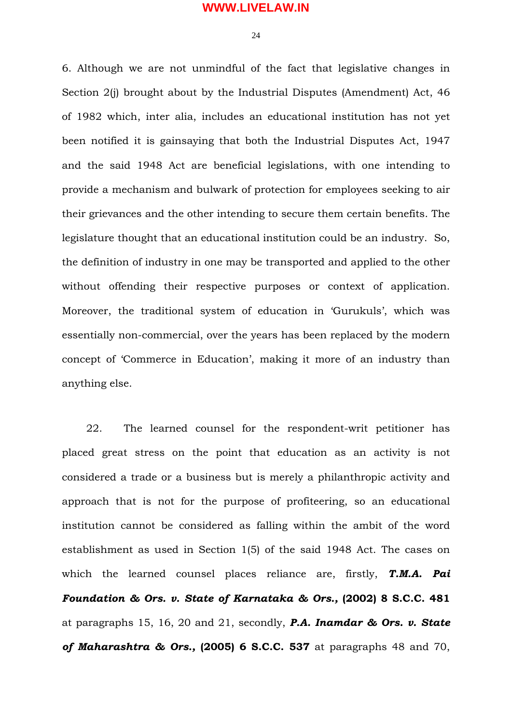$24$ 

6. Although we are not unmindful of the fact that legislative changes in Section 2(j) brought about by the Industrial Disputes (Amendment) Act, 46 of 1982 which, inter alia, includes an educational institution has not yet been notified it is gainsaying that both the Industrial Disputes Act, 1947 and the said 1948 Act are beneficial legislations, with one intending to provide a mechanism and bulwark of protection for employees seeking to air their grievances and the other intending to secure them certain benefits. The legislature thought that an educational institution could be an industry. So, the definition of industry in one may be transported and applied to the other without offending their respective purposes or context of application. Moreover, the traditional system of education in 'Gurukuls', which was essentially non-commercial, over the years has been replaced by the modern concept of 'Commerce in Education', making it more of an industry than anything else.

22. The learned counsel for the respondent-writ petitioner has placed great stress on the point that education as an activity is not considered a trade or a business but is merely a philanthropic activity and approach that is not for the purpose of profiteering, so an educational institution cannot be considered as falling within the ambit of the word establishment as used in Section 1(5) of the said 1948 Act. The cases on which the learned counsel places reliance are, firstly, *T.M.A. Pai Foundation & Ors. v. State of Karnataka & Ors.,* **(2002) 8 S.C.C. 481** at paragraphs 15, 16, 20 and 21, secondly, *P.A. Inamdar & Ors. v. State of Maharashtra & Ors.,* **(2005) 6 S.C.C. 537** at paragraphs 48 and 70,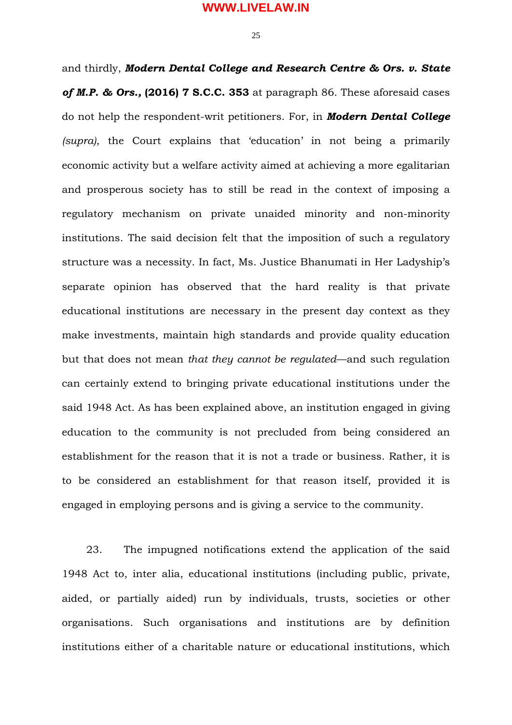$25$ 

and thirdly, *Modern Dental College and Research Centre & Ors. v. State of M.P. & Ors.,* **(2016) 7 S.C.C. 353** at paragraph 86. These aforesaid cases do not help the respondent-writ petitioners. For, in *Modern Dental College (supra)*, the Court explains that 'education' in not being a primarily economic activity but a welfare activity aimed at achieving a more egalitarian and prosperous society has to still be read in the context of imposing a regulatory mechanism on private unaided minority and non-minority institutions. The said decision felt that the imposition of such a regulatory structure was a necessity. In fact, Ms. Justice Bhanumati in Her Ladyship's separate opinion has observed that the hard reality is that private educational institutions are necessary in the present day context as they make investments, maintain high standards and provide quality education but that does not mean *that they cannot be regulated*—and such regulation can certainly extend to bringing private educational institutions under the said 1948 Act. As has been explained above, an institution engaged in giving education to the community is not precluded from being considered an establishment for the reason that it is not a trade or business. Rather, it is to be considered an establishment for that reason itself, provided it is engaged in employing persons and is giving a service to the community.

23. The impugned notifications extend the application of the said 1948 Act to, inter alia, educational institutions (including public, private, aided, or partially aided) run by individuals, trusts, societies or other organisations. Such organisations and institutions are by definition institutions either of a charitable nature or educational institutions, which